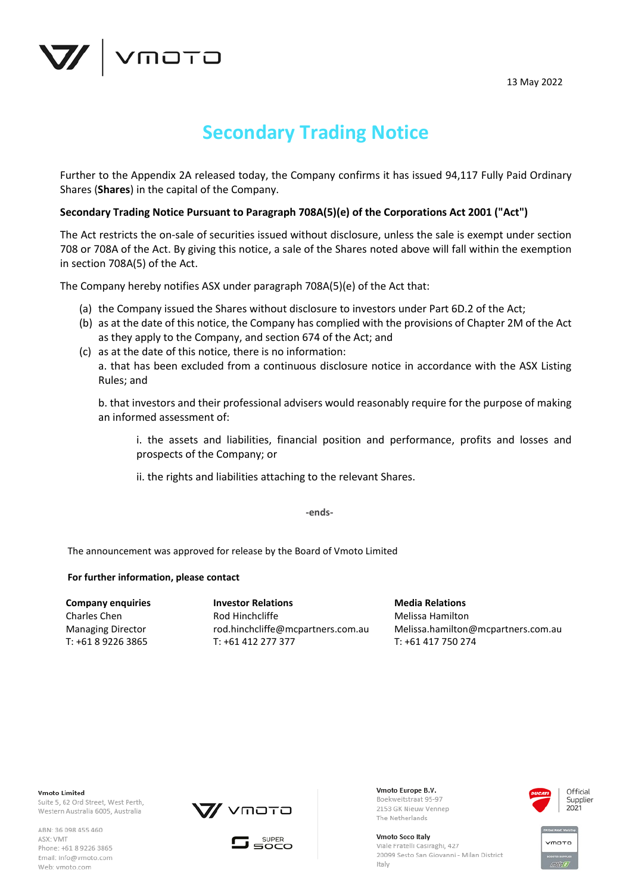

# **Secondary Trading Notice**

Further to the Appendix 2A released today, the Company confirms it has issued 94,117 Fully Paid Ordinary Shares (**Shares**) in the capital of the Company.

# **Secondary Trading Notice Pursuant to Paragraph 708A(5)(e) of the Corporations Act 2001 ("Act")**

The Act restricts the on-sale of securities issued without disclosure, unless the sale is exempt under section 708 or 708A of the Act. By giving this notice, a sale of the Shares noted above will fall within the exemption in section 708A(5) of the Act.

The Company hereby notifies ASX under paragraph 708A(5)(e) of the Act that:

- (a) the Company issued the Shares without disclosure to investors under Part 6D.2 of the Act;
- (b) as at the date of this notice, the Company has complied with the provisions of Chapter 2M of the Act as they apply to the Company, and section 674 of the Act; and
- (c) as at the date of this notice, there is no information: a. that has been excluded from a continuous disclosure notice in accordance with the ASX Listing Rules; and

b. that investors and their professional advisers would reasonably require for the purpose of making an informed assessment of:

i. the assets and liabilities, financial position and performance, profits and losses and prospects of the Company; or

ii. the rights and liabilities attaching to the relevant Shares.

**-ends-**

The announcement was approved for release by the Board of Vmoto Limited

## **For further information, please contact**

**Company enquiries** Charles Chen Managing Director T: +61 8 9226 3865

**Investor Relations** Rod Hinchcliffe rod.hinchcliffe@mcpartners.com.au T: +61 412 277 377

**Media Relations** Melissa Hamilton Melissa.hamilton@mcpartners.com.au T: +61 417 750 274

**Vmoto Limited** Suite 5, 62 Ord Street, West Perth, Western Australia 6005, Australia

ABN: 36 098 455 460 ASX: VMT Phone: +61 8 9226 3865 Email: info@vmoto.com Web: vmoto.com





Vmoto Europe B.V. Boekweitstraat 95-97 2153 GK Nieuw Vennep The Netherlands

Vmoto Soco Italy Viale Fratelli Casiraghi, 427 20099 Sesto San Giovanni - Milan District Italy